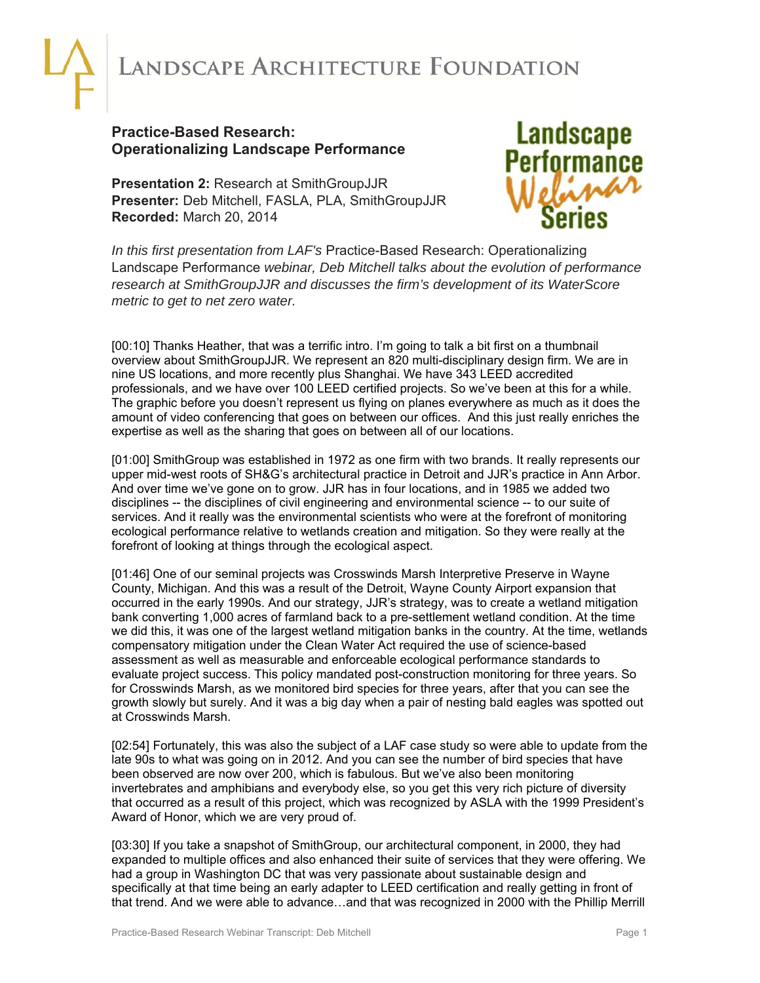## ANDSCAPE ARCHITECTURE FOUNDATION

## **Practice-Based Research: Operationalizing Landscape Performance**

**Presentation 2:** Research at SmithGroupJJR **Presenter:** Deb Mitchell, FASLA, PLA, SmithGroupJJR **Recorded:** March 20, 2014



*In this first presentation from LAF's* Practice-Based Research: Operationalizing Landscape Performance *webinar, Deb Mitchell talks about the evolution of performance research at SmithGroupJJR and discusses the firm's development of its WaterScore metric to get to net zero water.* 

[00:10] Thanks Heather, that was a terrific intro. I'm going to talk a bit first on a thumbnail overview about SmithGroupJJR. We represent an 820 multi-disciplinary design firm. We are in nine US locations, and more recently plus Shanghai. We have 343 LEED accredited professionals, and we have over 100 LEED certified projects. So we've been at this for a while. The graphic before you doesn't represent us flying on planes everywhere as much as it does the amount of video conferencing that goes on between our offices. And this just really enriches the expertise as well as the sharing that goes on between all of our locations.

[01:00] SmithGroup was established in 1972 as one firm with two brands. It really represents our upper mid-west roots of SH&G's architectural practice in Detroit and JJR's practice in Ann Arbor. And over time we've gone on to grow. JJR has in four locations, and in 1985 we added two disciplines -- the disciplines of civil engineering and environmental science -- to our suite of services. And it really was the environmental scientists who were at the forefront of monitoring ecological performance relative to wetlands creation and mitigation. So they were really at the forefront of looking at things through the ecological aspect.

[01:46] One of our seminal projects was Crosswinds Marsh Interpretive Preserve in Wayne County, Michigan. And this was a result of the Detroit, Wayne County Airport expansion that occurred in the early 1990s. And our strategy, JJR's strategy, was to create a wetland mitigation bank converting 1,000 acres of farmland back to a pre-settlement wetland condition. At the time we did this, it was one of the largest wetland mitigation banks in the country. At the time, wetlands compensatory mitigation under the Clean Water Act required the use of science-based assessment as well as measurable and enforceable ecological performance standards to evaluate project success. This policy mandated post-construction monitoring for three years. So for Crosswinds Marsh, as we monitored bird species for three years, after that you can see the growth slowly but surely. And it was a big day when a pair of nesting bald eagles was spotted out at Crosswinds Marsh.

[02:54] Fortunately, this was also the subject of a LAF case study so were able to update from the late 90s to what was going on in 2012. And you can see the number of bird species that have been observed are now over 200, which is fabulous. But we've also been monitoring invertebrates and amphibians and everybody else, so you get this very rich picture of diversity that occurred as a result of this project, which was recognized by ASLA with the 1999 President's Award of Honor, which we are very proud of.

[03:30] If you take a snapshot of SmithGroup, our architectural component, in 2000, they had expanded to multiple offices and also enhanced their suite of services that they were offering. We had a group in Washington DC that was very passionate about sustainable design and specifically at that time being an early adapter to LEED certification and really getting in front of that trend. And we were able to advance…and that was recognized in 2000 with the Phillip Merrill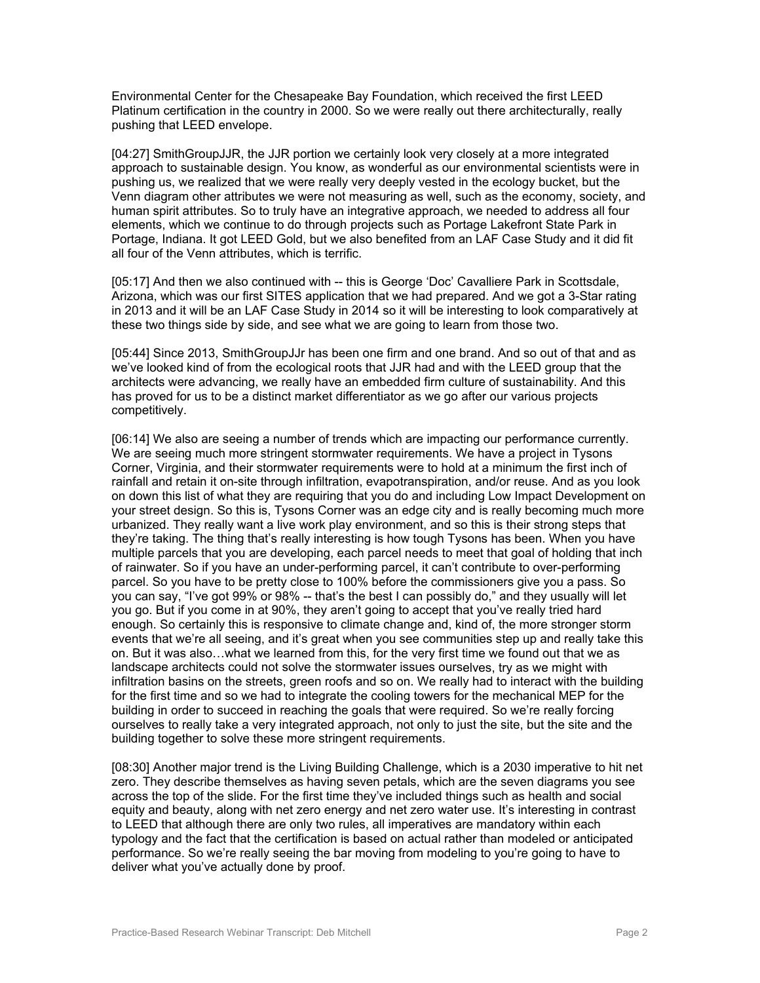Environmental Center for the Chesapeake Bay Foundation, which received the first LEED Platinum certification in the country in 2000. So we were really out there architecturally, really pushing that LEED envelope.

[04:27] SmithGroupJJR, the JJR portion we certainly look very closely at a more integrated approach to sustainable design. You know, as wonderful as our environmental scientists were in pushing us, we realized that we were really very deeply vested in the ecology bucket, but the Venn diagram other attributes we were not measuring as well, such as the economy, society, and human spirit attributes. So to truly have an integrative approach, we needed to address all four elements, which we continue to do through projects such as Portage Lakefront State Park in Portage, Indiana. It got LEED Gold, but we also benefited from an LAF Case Study and it did fit all four of the Venn attributes, which is terrific.

[05:17] And then we also continued with -- this is George 'Doc' Cavalliere Park in Scottsdale, Arizona, which was our first SITES application that we had prepared. And we got a 3-Star rating in 2013 and it will be an LAF Case Study in 2014 so it will be interesting to look comparatively at these two things side by side, and see what we are going to learn from those two.

[05:44] Since 2013, SmithGroupJJr has been one firm and one brand. And so out of that and as we've looked kind of from the ecological roots that JJR had and with the LEED group that the architects were advancing, we really have an embedded firm culture of sustainability. And this has proved for us to be a distinct market differentiator as we go after our various projects competitively.

[06:14] We also are seeing a number of trends which are impacting our performance currently. We are seeing much more stringent stormwater requirements. We have a project in Tysons Corner, Virginia, and their stormwater requirements were to hold at a minimum the first inch of rainfall and retain it on-site through infiltration, evapotranspiration, and/or reuse. And as you look on down this list of what they are requiring that you do and including Low Impact Development on your street design. So this is, Tysons Corner was an edge city and is really becoming much more urbanized. They really want a live work play environment, and so this is their strong steps that they're taking. The thing that's really interesting is how tough Tysons has been. When you have multiple parcels that you are developing, each parcel needs to meet that goal of holding that inch of rainwater. So if you have an under-performing parcel, it can't contribute to over-performing parcel. So you have to be pretty close to 100% before the commissioners give you a pass. So you can say, "I've got 99% or 98% -- that's the best I can possibly do," and they usually will let you go. But if you come in at 90%, they aren't going to accept that you've really tried hard enough. So certainly this is responsive to climate change and, kind of, the more stronger storm events that we're all seeing, and it's great when you see communities step up and really take this on. But it was also…what we learned from this, for the very first time we found out that we as landscape architects could not solve the stormwater issues ourselves, try as we might with infiltration basins on the streets, green roofs and so on. We really had to interact with the building for the first time and so we had to integrate the cooling towers for the mechanical MEP for the building in order to succeed in reaching the goals that were required. So we're really forcing ourselves to really take a very integrated approach, not only to just the site, but the site and the building together to solve these more stringent requirements.

[08:30] Another major trend is the Living Building Challenge, which is a 2030 imperative to hit net zero. They describe themselves as having seven petals, which are the seven diagrams you see across the top of the slide. For the first time they've included things such as health and social equity and beauty, along with net zero energy and net zero water use. It's interesting in contrast to LEED that although there are only two rules, all imperatives are mandatory within each typology and the fact that the certification is based on actual rather than modeled or anticipated performance. So we're really seeing the bar moving from modeling to you're going to have to deliver what you've actually done by proof.